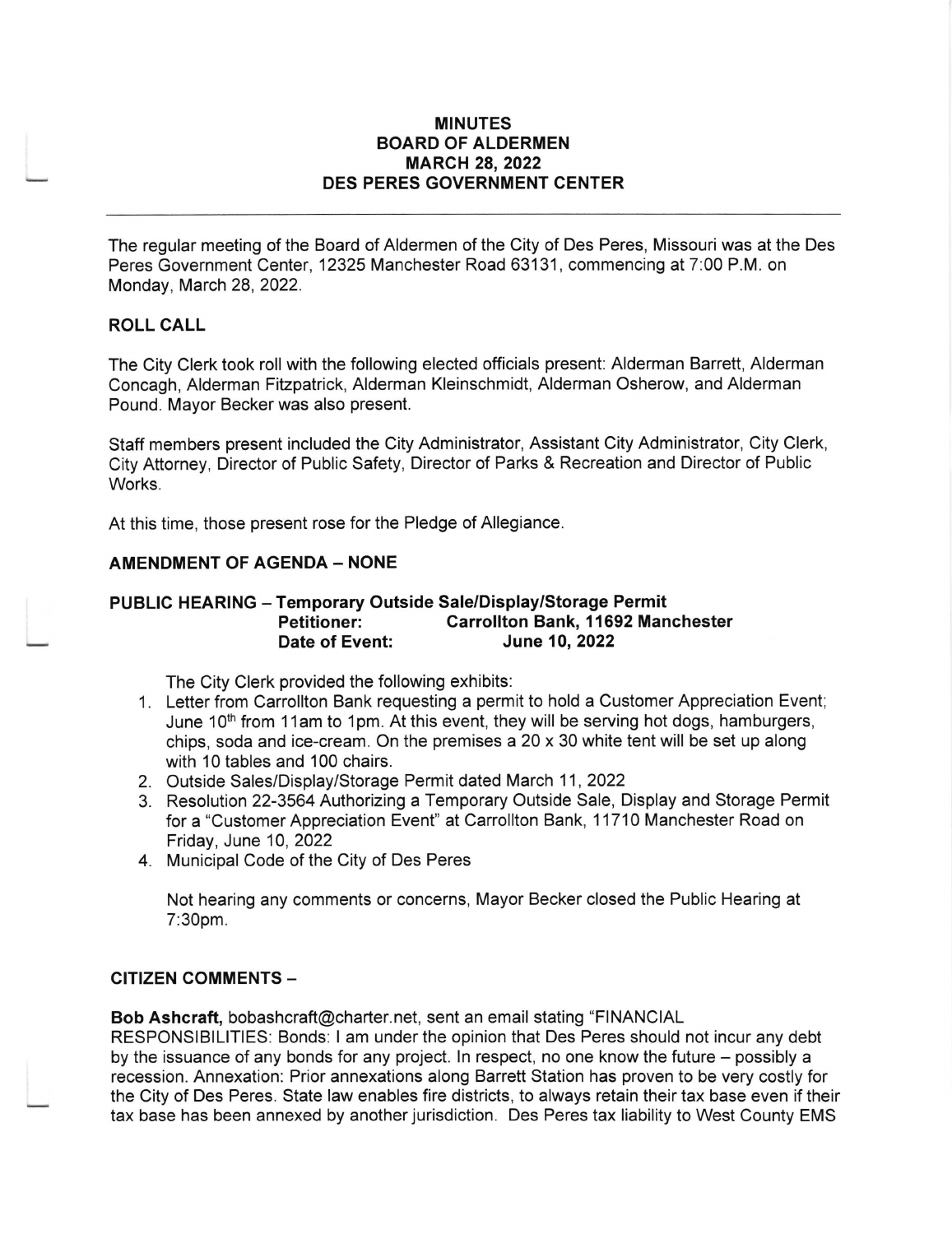#### MINUTES BOARD OF ALDERMEN MARCH 28,2022 DES PERES GOVERNMENT CENTER

The regular meeting of the Board of Aldermen of the City of Des Peres, Missouri was at the Des Peres Government Center, 12325 Manchester Road 63131, commencing at 7:00 P.M. on Monday, March 28, 2022.

### ROLL CALL

The City Clerk took roll with the following elected officials present: Alderman Barrett, Alderman Concagh, Alderman Fitzpatrick, Alderman Kleinschmidt, Alderman Osherow, and Alderman Pound. Mayor Becker was also present.

Staff members present included the City Administrator, Assistant City Administrator, City Clerk, City Attorney, Director of Public Safety, Director of Parks & Recreation and Director of Public Works.

At this time, those present rose for the Pledge of Allegiance

#### **AMENDMENT OF AGENDA - NONE**

#### PUBLIC HEARING - Temporary Outside Sale/Display/Storage Permit Petitioner: Carrollton Bank, 11692 Manchester<br>Date of Event: June 10, 2022 June 10, 2022

The City Clerk provided the following exhibits:

- 1. Letter from Carrollton Bank requesting a permit to hold a Customer Appreciation Event; June 10<sup>th</sup> from 11am to 1pm. At this event, they will be serving hot dogs, hamburgers, chips, soda and ice-cream. On the premises a20 x 30 white tent will be set up along with 10 tables and 100 chairs.
- 2. Outside Sales/Display/Storage Permit dated March 11,2022
- 3. Resolution 22-3564 Authorizing a Temporary Outside Sale, Display and Storage Permit for a "Customer Appreciation Event" at Carrollton Bank, 11710 Manchester Road on Friday, June 10,2022
- 4. Municipal Code of the City of Des Peres

Not hearing any comments or concerns, Mayor Becker closed the Public Hearing at 7:30pm.

#### CITIZEN COMMENTS -

Bob Ashcraft, bobashcraft@charter.net, sent an email stating "FINANCIAL

RESPONSIBILITIES: Bonds: I am under the opinion that Des Peres should not incur any debt by the issuance of any bonds for any project. In respect, no one know the future – possibly a recession. Annexation: Prior annexations along Barrett Station has proven to be very costly for the City of Des Peres. State law enables fire districts, to always retain their tax base even if their tax base has been annexed by another jurisdiction. Des Peres tax liability to West County EMS